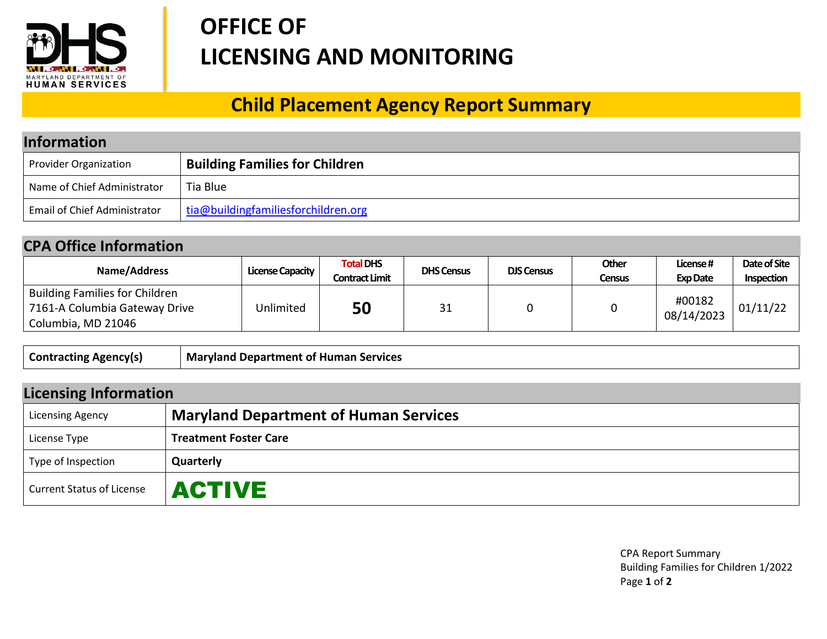

## **OFFICE OF LICENSING AND MONITORING**

## **Child Placement Agency Report Summary**

| <b>Information</b>                  |                                       |  |  |
|-------------------------------------|---------------------------------------|--|--|
| Provider Organization               | <b>Building Families for Children</b> |  |  |
| Name of Chief Administrator         | Tia Blue                              |  |  |
| <b>Email of Chief Administrator</b> | tia@buildingfamiliesforchildren.org   |  |  |

## **CPA Office Information**

| Name/Address                                                                          | License Capacity | <b>Total DHS</b><br>Contract Limit | <b>DHS Census</b> | <b>DJS Census</b> | Other<br><b>Census</b> | License#<br><b>Exp Date</b> | Date of Site<br>Inspection |
|---------------------------------------------------------------------------------------|------------------|------------------------------------|-------------------|-------------------|------------------------|-----------------------------|----------------------------|
| Building Families for Children<br>7161-A Columbia Gateway Drive<br>Columbia, MD 21046 | Unlimited        | 50                                 | 31                |                   |                        | #00182<br>08/14/2023        | 01/11/22                   |

| <b>Contracting Agency(s)</b> | Maryland Department of Human Services |
|------------------------------|---------------------------------------|
|------------------------------|---------------------------------------|

| <b>Licensing Information</b>     |                                              |  |  |
|----------------------------------|----------------------------------------------|--|--|
| <b>Licensing Agency</b>          | <b>Maryland Department of Human Services</b> |  |  |
| License Type                     | <b>Treatment Foster Care</b>                 |  |  |
| Type of Inspection               | Quarterly                                    |  |  |
| <b>Current Status of License</b> | <b>ACTIVE</b>                                |  |  |